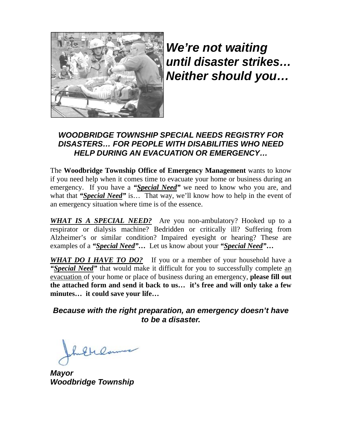

*We're not waiting until disaster strikes… Neither should you…* 

## *WOODBRIDGE TOWNSHIP SPECIAL NEEDS REGISTRY FOR DISASTERS… FOR PEOPLE WITH DISABILITIES WHO NEED HELP DURING AN EVACUATION OR EMERGENCY…*

The **Woodbridge Township Office of Emergency Management** wants to know if you need help when it comes time to evacuate your home or business during an emergency. If you have a "Special Need" we need to know who you are, and what that *"Special Need"* is... That way, we'll know how to help in the event of an emergency situation where time is of the essence.

**WHAT IS A SPECIAL NEED?** Are you non-ambulatory? Hooked up to a respirator or dialysis machine? Bedridden or critically ill? Suffering from Alzheimer's or similar condition? Impaired eyesight or hearing? These are examples of a *"Special Need"…* Let us know about your *"Special Need"***…** 

WHAT DO I HAVE TO DO? If you or a member of your household have a **"Special Need"** that would make it difficult for you to successfully complete an evacuation of your home or place of business during an emergency, **please fill out the attached form and send it back to us… it's free and will only take a few minutes… it could save your life…** 

## *Because with the right preparation, an emergency doesn't have to be a disaster.*

Gulama

*Mayor Woodbridge Township*